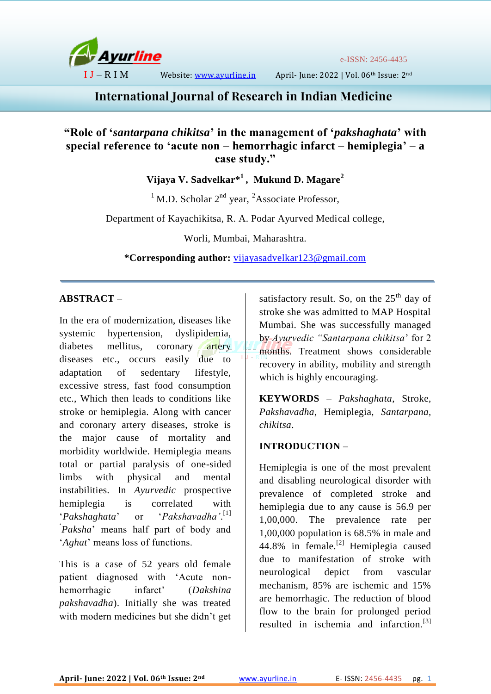

e-ISSN: 2456-4435

I J – R I M Website: [www.ayurline.in](http://www.ayurline.in/) April- June: 2022 | Vol. 06th Issue: 2nd

# **International Journal of Research in Indian Medicine**

# **"Role of '***santarpana chikitsa***' in the management of '***pakshaghata***' with special reference to 'acute non – hemorrhagic infarct – hemiplegia' – a case study."**

**Vijaya V. Sadvelkar\* 1 , Mukund D. Magare<sup>2</sup>**

<sup>1</sup> M.D. Scholar  $2<sup>nd</sup>$  year, <sup>2</sup>Associate Professor,

Department of Kayachikitsa, R. A. Podar Ayurved Medical college,

Worli, Mumbai, Maharashtra.

**\*Corresponding author:** [vijayasadvelkar123@gmail.com](mailto:vijayasadvelkar123@gmail.com)

# **ABSTRACT** –

In the era of modernization, diseases like systemic hypertension, dyslipidemia, diabetes mellitus, coronary artery diseases etc., occurs easily due to adaptation of sedentary lifestyle, excessive stress, fast food consumption etc., Which then leads to conditions like stroke or hemiplegia. Along with cancer and coronary artery diseases, stroke is the major cause of mortality and morbidity worldwide. Hemiplegia means total or partial paralysis of one-sided limbs with physical and mental instabilities. In *Ayurvedic* prospective hemiplegia is correlated with '*Pakshaghata*' or '*Pakshavadha'*.  $'Pakshavadha'$ .<sup>[1]</sup> ' *Paksha*' means half part of body and '*Aghat*' means loss of functions.

This is a case of 52 years old female patient diagnosed with 'Acute nonhemorrhagic infarct' (*Dakshina pakshavadha*). Initially she was treated with modern medicines but she didn't get satisfactory result. So, on the  $25<sup>th</sup>$  day of stroke she was admitted to MAP Hospital Mumbai. She was successfully managed by *Ayurvedic "Santarpana chikitsa*' for 2 months. Treatment shows considerable recovery in ability, mobility and strength which is highly encouraging.

**KEYWORDS** – *Pakshaghata*, Stroke, *Pakshavadha*, Hemiplegia, *Santarpana, chikitsa*.

# **INTRODUCTION** –

Hemiplegia is one of the most prevalent and disabling neurological disorder with prevalence of completed stroke and hemiplegia due to any cause is 56.9 per 1,00,000. The prevalence rate per 1,00,000 population is 68.5% in male and 44.8% in female.<sup>[2]</sup> Hemiplegia caused due to manifestation of stroke with neurological depict from vascular mechanism, 85% are ischemic and 15% are hemorrhagic. The reduction of blood flow to the brain for prolonged period resulted in ischemia and infarction.[3]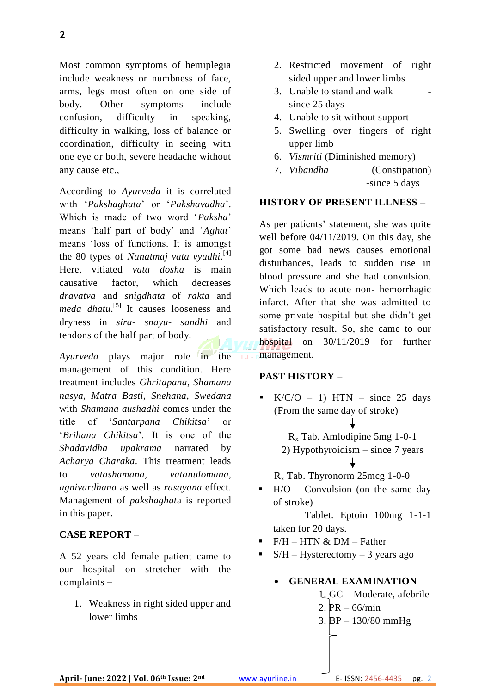Most common symptoms of hemiplegia include weakness or numbness of face, arms, legs most often on one side of body. Other symptoms include confusion, difficulty in speaking, difficulty in walking, loss of balance or coordination, difficulty in seeing with one eye or both, severe headache without any cause etc.,

According to *Ayurveda* it is correlated with '*Pakshaghata*' or '*Pakshavadha*'. Which is made of two word '*Paksha*' means 'half part of body' and '*Aghat*' means 'loss of functions. It is amongst the 80 types of *Nanatmaj vata vyadhi*. [4] Here, vitiated *vata dosha* is main causative factor, which decreases *dravatva* and *snigdhata* of *rakta* and meda dhatu.<sup>[5]</sup> It causes looseness and dryness in *sira- snayu*- *sandhi* and tendons of the half part of body.

*Ayurveda* plays major role in the management of this condition. Here treatment includes *Ghritapana*, *Shamana nasya*, *Matra Basti*, *Snehana*, *Swedana* with *Shamana aushadhi* comes under the title of '*Santarpana Chikitsa*' or '*Brihana Chikitsa*'. It is one of the *Shadavidha upakrama* narrated by *Acharya Charaka*. This treatment leads to *vatashamana, vatanulomana, agnivardhana* as well as *rasayana* effect. Management of *pakshaghat*a is reported in this paper.

# **CASE REPORT** –

A 52 years old female patient came to our hospital on stretcher with the complaints –

1. Weakness in right sided upper and lower limbs

- 2. Restricted movement of right sided upper and lower limbs
- 3. Unable to stand and walk since 25 days
- 4. Unable to sit without support
- 5. Swelling over fingers of right upper limb
- 6. *Vismriti* (Diminished memory)
- 7. *Vibandha* (Constipation) -since 5 days

# **HISTORY OF PRESENT ILLNESS** –

As per patients' statement, she was quite well before 04/11/2019. On this day, she got some bad news causes emotional disturbances, leads to sudden rise in blood pressure and she had convulsion. Which leads to acute non- hemorrhagic infarct. After that she was admitted to some private hospital but she didn't get satisfactory result. So, she came to our hospital on 30/11/2019 for further management.

# **PAST HISTORY** –

 $\bullet$  K/C/O – 1) HTN – since 25 days (From the same day of stroke)

> R<sup>x</sup> Tab. Amlodipine 5mg 1-0-1 2) Hypothyroidism – since 7 years

 $R_x$  Tab. Thyronorm 25mcg 1-0-0

 $H/O - Convulsion$  (on the same day of stroke)

 Tablet. Eptoin 100mg 1-1-1 taken for 20 days.

- $\blacksquare$  F/H HTN & DM Father
- $S/H H$ ysterectomy 3 years ago

# **GENERAL EXAMINATION** –

- 1. GC Moderate, afebrile
- 2. PR 66/min
- 3. BP 130/80 mmHg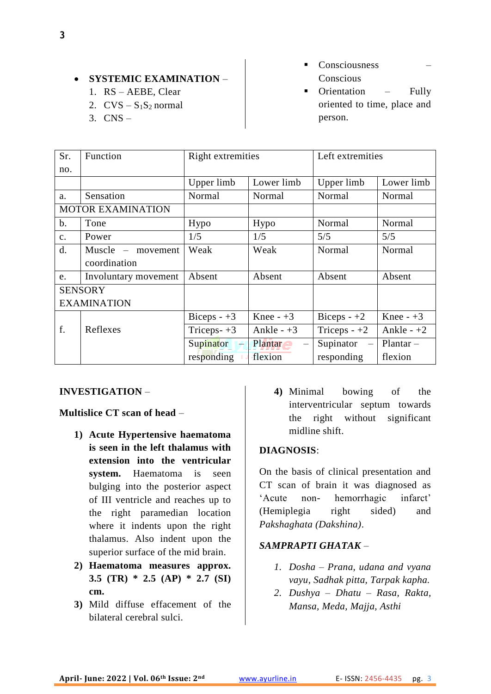# **• SYSTEMIC EXAMINATION –**

- 1. RS AEBE, Clear
- 2.  $CVS S<sub>1</sub>S<sub>2</sub> normal$
- 3. CNS –
- Consciousness Conscious
- Orientation Fully oriented to time, place and person.

| Sr.            | Function                 | Right extremities   |             | Left extremities                      |              |  |
|----------------|--------------------------|---------------------|-------------|---------------------------------------|--------------|--|
| no.            |                          |                     |             |                                       |              |  |
|                |                          | Upper limb          | Lower limb  | Upper limb                            | Lower limb   |  |
| a.             | Sensation                | Normal              | Normal      | Normal                                | Normal       |  |
|                | <b>MOTOR EXAMINATION</b> |                     |             |                                       |              |  |
| $\mathbf b$ .  | Tone                     | Hypo                | Hypo        | Normal                                | Normal       |  |
| $\mathbf{c}$ . | Power                    | 1/5                 | 1/5         | 5/5                                   | 5/5          |  |
| d.             | $Muscle - movement$      | Weak                | Weak        | Normal                                | Normal       |  |
|                | coordination             |                     |             |                                       |              |  |
| e.             | Involuntary movement     | Absent              | Absent      | Absent                                | Absent       |  |
| <b>SENSORY</b> |                          |                     |             |                                       |              |  |
|                | <b>EXAMINATION</b>       |                     |             |                                       |              |  |
|                |                          | Biceps $-+3$        | Knee $-+3$  | Biceps $-+2$                          | Knee $-+3$   |  |
| f.             | Reflexes                 | Triceps- $+3$       | Ankle $-+3$ | Triceps $-+2$                         | Ankle - $+2$ |  |
|                |                          | Supinator<br>البشار | Plantar     | Supinator<br>$\overline{\phantom{m}}$ | $Planar -$   |  |
|                |                          | responding          | flexion     | responding                            | flexion      |  |

#### **INVESTIGATION** –

### **Multislice CT scan of head** –

- **1) Acute Hypertensive haematoma is seen in the left thalamus with extension into the ventricular system.** Haematoma is seen bulging into the posterior aspect of III ventricle and reaches up to the right paramedian location where it indents upon the right thalamus. Also indent upon the superior surface of the mid brain.
- **2) Haematoma measures approx. 3.5 (TR) \* 2.5 (AP) \* 2.7 (SI) cm.**
- **3)** Mild diffuse effacement of the bilateral cerebral sulci.

**4)** Minimal bowing of the interventricular septum towards the right without significant midline shift.

#### **DIAGNOSIS**:

On the basis of clinical presentation and CT scan of brain it was diagnosed as 'Acute non- hemorrhagic infarct' (Hemiplegia right sided) and *Pakshaghata (Dakshina)*.

# *SAMPRAPTI GHATAK* –

- *1. Dosha – Prana, udana and vyana vayu, Sadhak pitta, Tarpak kapha.*
- *2. Dushya – Dhatu – Rasa, Rakta, Mansa, Meda, Majja, Asthi*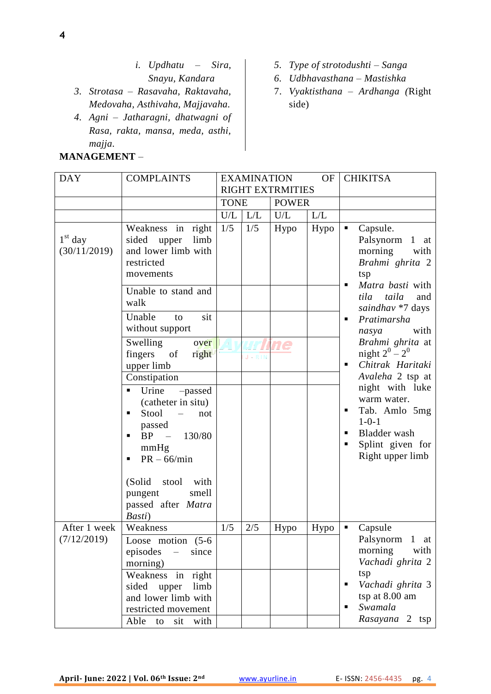- *i. Updhatu – Sira, Snayu, Kandara*
- *3. Strotasa – Rasavaha, Raktavaha, Medovaha, Asthivaha, Majjavaha.*
- *4. Agni – Jatharagni, dhatwagni of Rasa, rakta, mansa, meda, asthi, majja.*

#### **MANAGEMENT** –

- *5. Type of strotodushti – Sanga*
- *6. Udbhavasthana – Mastishka*
- 7. *Vyaktisthana – Ardhanga (*Right side)

| <b>DAY</b>                | <b>COMPLAINTS</b>                                                                                                                   | <b>EXAMINATION</b><br><b>OF</b><br><b>RIGHT EXTRMITIES</b> |            | <b>CHIKITSA</b> |      |   |                                                                                                                        |
|---------------------------|-------------------------------------------------------------------------------------------------------------------------------------|------------------------------------------------------------|------------|-----------------|------|---|------------------------------------------------------------------------------------------------------------------------|
|                           |                                                                                                                                     | <b>TONE</b>                                                |            | <b>POWER</b>    |      |   |                                                                                                                        |
|                           |                                                                                                                                     | U/L                                                        | $L/L$      | U/L             | L/L  |   |                                                                                                                        |
| $1st$ day<br>(30/11/2019) | Weakness in right<br>sided upper<br>limb<br>and lower limb with<br>restricted<br>movements                                          | 1/5                                                        | 1/5        | Hypo            | Hypo | ٠ | Capsule.<br>Palsynorm<br>$1$ at<br>morning<br>with<br>Brahmi ghrita 2<br>tsp                                           |
|                           | Unable to stand and<br>walk                                                                                                         |                                                            |            |                 |      | п | Matra basti with<br>taila<br>and<br>tila<br>saindhav *7 days                                                           |
|                           | Unable<br>sit<br>to<br>without support                                                                                              |                                                            |            |                 |      | ٠ | Pratimarsha<br>with<br>nasya                                                                                           |
|                           | Swelling<br>over<br>fingers<br>of<br>right<br>upper limb<br>Constipation                                                            |                                                            | $J - R IN$ |                 |      | п | Brahmi ghrita at<br>night $2^0 - 2^0$<br>Chitrak Haritaki<br>Avaleha 2 tsp at                                          |
|                           | Urine<br>-passed<br>٠<br>(catheter in situ)<br>Stool<br>$\equiv$<br>not<br>passed<br>BP - 130/80<br>п<br>mmHg<br>$PR - 66/min$<br>п |                                                            |            |                 |      | п | night with luke<br>warm water.<br>Tab. Amlo 5mg<br>$1 - 0 - 1$<br>Bladder wash<br>Splint given for<br>Right upper limb |
|                           | (Solid)<br>stool with<br>smell<br>pungent<br>passed after Matra<br>Basti)                                                           |                                                            |            |                 |      |   |                                                                                                                        |
| After 1 week              | Weakness                                                                                                                            | 1/5                                                        | 2/5        | Hypo            | Hypo | ٠ | Capsule                                                                                                                |
| (7/12/2019)               | Loose motion (5-6<br>episodes<br>since<br>$\frac{1}{2}$<br>morning)                                                                 |                                                            |            |                 |      |   | Palsynorm 1 at<br>morning<br>with<br>Vachadi ghrita 2                                                                  |
|                           | Weakness in right<br>sided upper<br>limb<br>and lower limb with<br>restricted movement<br>Able<br>with<br>sit<br>to                 |                                                            |            |                 |      | п | tsp<br>Vachadi ghrita 3<br>tsp at 8.00 am<br>Swamala<br>Rasayana 2 tsp                                                 |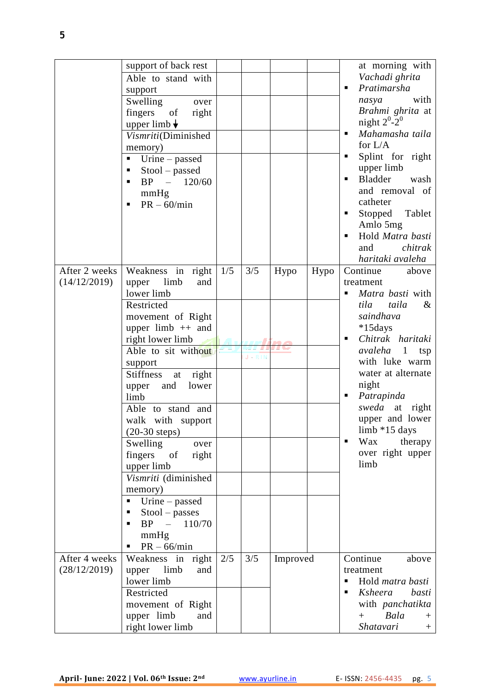|               | support of back rest            |     |             |          |      | at morning with                |
|---------------|---------------------------------|-----|-------------|----------|------|--------------------------------|
|               | Able to stand with              |     |             |          |      | Vachadi ghrita                 |
|               | support                         |     |             |          |      | Pratimarsha<br>п               |
|               | Swelling<br>over                |     |             |          |      | with<br>nasya                  |
|               | fingers<br>of<br>right          |     |             |          |      | Brahmi ghrita at               |
|               | upper limb $\downarrow$         |     |             |          |      | night $2^0$ - $2^0$            |
|               | Vismriti(Diminished             |     |             |          |      | Mahamasha taila                |
|               |                                 |     |             |          |      | for $L/A$                      |
|               | memory)                         |     |             |          |      | Splint for right<br>п          |
|               | Urine – passed<br>п             |     |             |          |      | upper limb                     |
|               | Stool – passed<br>٠             |     |             |          |      | Bladder<br>wash<br>٠           |
|               | $BP - 120/60$                   |     |             |          |      | and removal of                 |
|               | mmHg                            |     |             |          |      | catheter                       |
|               | $PR - 60/min$<br>П              |     |             |          |      | Stopped<br>Tablet<br>п         |
|               |                                 |     |             |          |      | Amlo 5mg                       |
|               |                                 |     |             |          |      | Hold Matra basti               |
|               |                                 |     |             |          |      | and<br>chitrak                 |
|               |                                 |     |             |          |      | haritaki avaleha               |
| After 2 weeks | Weakness in right               | 1/5 | 3/5         | Hypo     | Hypo | Continue<br>above              |
| (14/12/2019)  | limb<br>upper<br>and            |     |             |          |      | treatment                      |
|               | lower limb                      |     |             |          |      | Matra basti with               |
|               | Restricted                      |     |             |          |      | tila<br>taila<br>$\&$          |
|               | movement of Right               |     |             |          |      | saindhava                      |
|               | upper $limb + a$ and            |     |             |          |      | $*15 days$                     |
|               | right lower limb                |     |             |          |      | Chitrak haritaki<br>П          |
|               | Able to sit without             |     |             |          |      | avaleha<br>$\mathbf{1}$<br>tsp |
|               | support                         |     | $J - R 1 M$ |          |      | with luke warm                 |
|               | <b>Stiffness</b><br>right<br>at |     |             |          |      | water at alternate             |
|               | and<br>lower<br>upper           |     |             |          |      | night                          |
|               | limb                            |     |             |          |      | Patrapinda<br>п                |
|               | Able to stand and               |     |             |          |      | sweda at<br>right              |
|               | walk with support               |     |             |          |      | upper and lower                |
|               | $(20-30$ steps)                 |     |             |          |      | limb *15 days                  |
|               | Swelling<br>over                |     |             |          |      | Wax<br>therapy<br>٠            |
|               | fingers<br>of<br>right          |     |             |          |      | over right upper               |
|               | upper limb                      |     |             |          |      | limb                           |
|               | Vismriti (diminished            |     |             |          |      |                                |
|               | memory)                         |     |             |          |      |                                |
|               | Urine – passed<br>Ξ             |     |             |          |      |                                |
|               | Stool – passes<br>п             |     |             |          |      |                                |
|               | $BP -$<br>110/70<br>П           |     |             |          |      |                                |
|               | mmHg                            |     |             |          |      |                                |
|               | $PR - 66/min$<br>п              |     |             |          |      |                                |
| After 4 weeks | Weakness in right               | 2/5 | 3/5         | Improved |      | Continue<br>above              |
| (28/12/2019)  | limb<br>upper<br>and            |     |             |          |      | treatment                      |
|               | lower limb                      |     |             |          |      | Hold matra basti<br>П          |
|               | Restricted                      |     |             |          |      | Ksheera<br>basti               |
|               | movement of Right               |     |             |          |      | with panchatikta               |
|               | upper limb<br>and               |     |             |          |      | Bala<br>$+$<br>$^{+}$          |
|               | right lower limb                |     |             |          |      | Shatavari<br>$^{+}$            |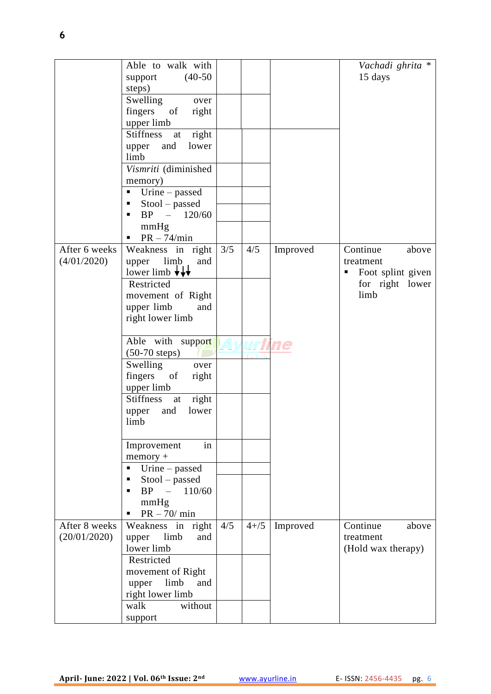|                               | Able to walk with<br>$(40-50)$<br>support<br>steps)<br>Swelling<br>over<br>fingers of<br>right<br>upper limb<br><b>Stiffness</b><br>right<br>at<br>and<br>lower<br>upper<br>limb<br>Vismriti (diminished<br>memory)<br>Urine - passed<br>п<br>Stool – passed<br>٠<br>$- 120/60$<br><b>BP</b><br>٠<br>mmHg<br>$PR - 74/min$<br>п                                                                                                                                                           |     |          |                | Vachadi ghrita *<br>15 days                                                         |
|-------------------------------|-------------------------------------------------------------------------------------------------------------------------------------------------------------------------------------------------------------------------------------------------------------------------------------------------------------------------------------------------------------------------------------------------------------------------------------------------------------------------------------------|-----|----------|----------------|-------------------------------------------------------------------------------------|
| After 6 weeks<br>(4/01/2020)  | Weakness in right<br>limb<br>upper<br>and<br>lower limb $\overline{\mathbf{v}}$<br>Restricted<br>movement of Right<br>upper limb<br>and<br>right lower limb<br>Able with support<br>$(50-70 \text{ steps})$<br>Swelling<br>over<br>fingers<br>of<br>right<br>upper limb<br><b>Stiffness</b><br>right<br>at<br>and<br>lower<br>upper<br>limb<br>Improvement<br>in<br>$memory +$<br>Urine – passed<br>$\blacksquare$<br>Stool – passed<br>п<br>$BP - 110/60$<br>٠<br>mmHg<br>$PR - 70/ min$ | 3/5 | 4/5      | Improved<br>ne | Continue<br>above<br>treatment<br>Foot splint given<br>П<br>for right lower<br>limb |
| After 8 weeks<br>(20/01/2020) | Weakness in right<br>upper limb<br>and<br>lower limb<br>Restricted<br>movement of Right<br>upper<br>limb<br>and<br>right lower limb<br>walk<br>without<br>support                                                                                                                                                                                                                                                                                                                         | 4/5 | $4 + 75$ | Improved       | Continue<br>above<br>treatment<br>(Hold wax therapy)                                |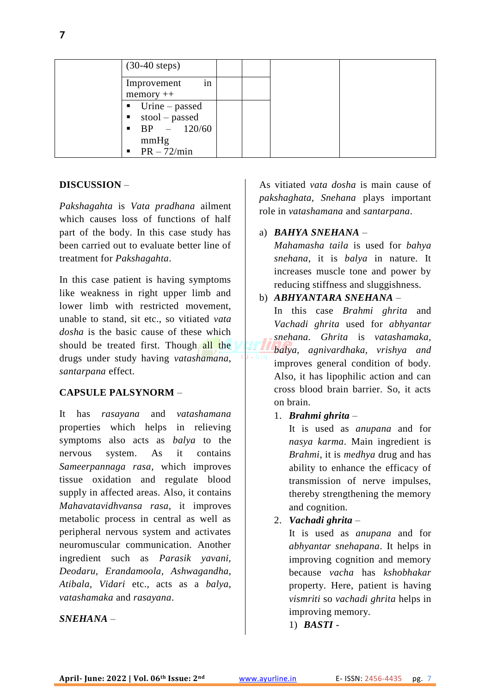| $(30-40 \text{ steps})$                                                                                                                 |  |  |
|-----------------------------------------------------------------------------------------------------------------------------------------|--|--|
| in<br>Improvement<br>$memory++$                                                                                                         |  |  |
| $\blacksquare$ Urine – passed<br>stool – passed<br>$\blacksquare$<br>$\bullet$ BP $-$ 120/60<br>mmHg<br>$PR - 72/min$<br>$\blacksquare$ |  |  |

## **DISCUSSION** –

*Pakshagahta* is *Vata pradhana* ailment which causes loss of functions of half part of the body. In this case study has been carried out to evaluate better line of treatment for *Pakshagahta*.

In this case patient is having symptoms like weakness in right upper limb and lower limb with restricted movement, unable to stand, sit etc., so vitiated *vata dosha* is the basic cause of these which should be treated first. Though all the drugs under study having *vatashamana*, *santarpana* effect.

#### **CAPSULE PALSYNORM** –

It has *rasayana* and *vatashamana*  properties which helps in relieving symptoms also acts as *balya* to the nervous system. As it contains *Sameerpannaga rasa*, which improves tissue oxidation and regulate blood supply in affected areas. Also, it contains *Mahavatavidhvansa rasa*, it improves metabolic process in central as well as peripheral nervous system and activates neuromuscular communication. Another ingredient such as *Parasik yavani, Deodaru, Erandamoola, Ashwagandha, Atibala, Vidari* etc., acts as a *balya, vatashamaka* and *rasayana*.

#### *SNEHANA* –

As vitiated *vata dosha* is main cause of *pakshaghata, Snehana* plays important role in *vatashamana* and *santarpana*.

#### a) *BAHYA SNEHANA* –

*Mahamasha taila* is used for *bahya snehana*, it is *balya* in nature. It increases muscle tone and power by reducing stiffness and sluggishness.

#### b) *ABHYANTARA SNEHANA* –

In this case *Brahmi ghrita* and *Vachadi ghrita* used for *abhyantar snehana. Ghrita* is *vatashamaka, balya, agnivardhaka, vrishya and* improves general condition of body. Also, it has lipophilic action and can cross blood brain barrier. So, it acts on brain.

#### 1. *Brahmi ghrita* –

It is used as *anupana* and for *nasya karma*. Main ingredient is *Brahmi*, it is *medhya* drug and has ability to enhance the efficacy of transmission of nerve impulses, thereby strengthening the memory and cognition.

## 2. *Vachadi ghrita* –

It is used as *anupana* and for *abhyantar snehapana*. It helps in improving cognition and memory because *vacha* has *kshobhakar* property. Here, patient is having *vismriti* so *vachadi ghrita* helps in improving memory.

## 1) *BASTI* -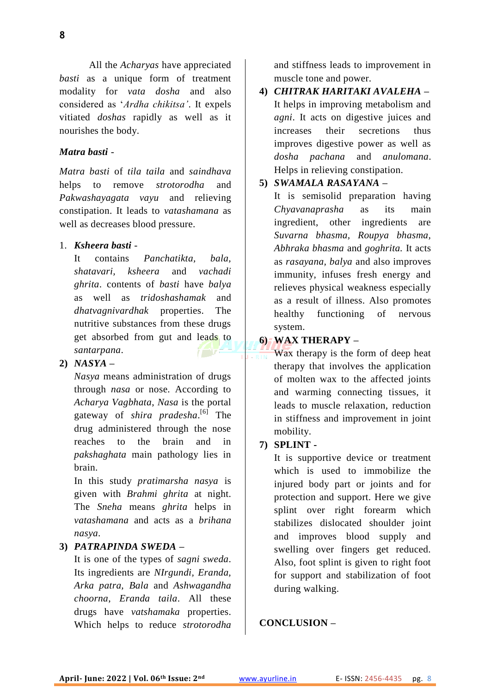All the *Acharyas* have appreciated *basti* as a unique form of treatment modality for *vata dosha* and also considered as '*Ardha chikitsa'*. It expels vitiated *doshas* rapidly as well as it nourishes the body.

### *Matra basti* -

*Matra basti* of *tila taila* and *saindhava* helps to remove *strotorodha* and *Pakwashayagata vayu* and relieving constipation. It leads to *vatashamana* as well as decreases blood pressure.

#### 1. *Ksheera basti* -

It contains *Panchatikta, bala, shatavari, ksheera* and *vachadi ghrita*. contents of *basti* have *balya* as well as *tridoshashamak* and *dhatvagnivardhak* properties. The nutritive substances from these drugs get absorbed from gut and leads to *santarpana*.

# **2)** *NASYA* **–**

*Nasya* means administration of drugs through *nasa* or nose. According to *Acharya Vagbhata*, *Nasa* is the portal gateway of *shira pradesha*. [6] The drug administered through the nose reaches to the brain and in *pakshaghata* main pathology lies in brain.

In this study *pratimarsha nasya* is given with *Brahmi ghrita* at night. The *Sneha* means *ghrita* helps in *vatashamana* and acts as a *brihana nasya*.

### **3)** *PATRAPINDA SWEDA* **–**

It is one of the types of *sagni sweda*. Its ingredients are *NIrgundi, Eranda, Arka patra, Bala* and *Ashwagandha choorna*, *Eranda taila*. All these drugs have *vatshamaka* properties. Which helps to reduce *strotorodha* and stiffness leads to improvement in muscle tone and power.

**4)** *CHITRAK HARITAKI AVALEHA* **–** It helps in improving metabolism and *agni*. It acts on digestive juices and increases their secretions thus improves digestive power as well as *dosha pachana* and *anulomana*. Helps in relieving constipation.

#### **5)** *SWAMALA RASAYANA* **–**

It is semisolid preparation having *Chyavanaprasha* as its main ingredient, other ingredients are *Suvarna bhasma, Roupya bhasma, Abhraka bhasma* and *goghrita.* It acts as *rasayana, balya* and also improves immunity, infuses fresh energy and relieves physical weakness especially as a result of illness. Also promotes healthy functioning of nervous system.

#### **6) WAX THERAPY –**

Wax therapy is the form of deep heat therapy that involves the application of molten wax to the affected joints and warming connecting tissues, it leads to muscle relaxation, reduction in stiffness and improvement in joint mobility.

#### **7) SPLINT -**

It is supportive device or treatment which is used to immobilize the injured body part or joints and for protection and support. Here we give splint over right forearm which stabilizes dislocated shoulder joint and improves blood supply and swelling over fingers get reduced. Also, foot splint is given to right foot for support and stabilization of foot during walking.

## **CONCLUSION –**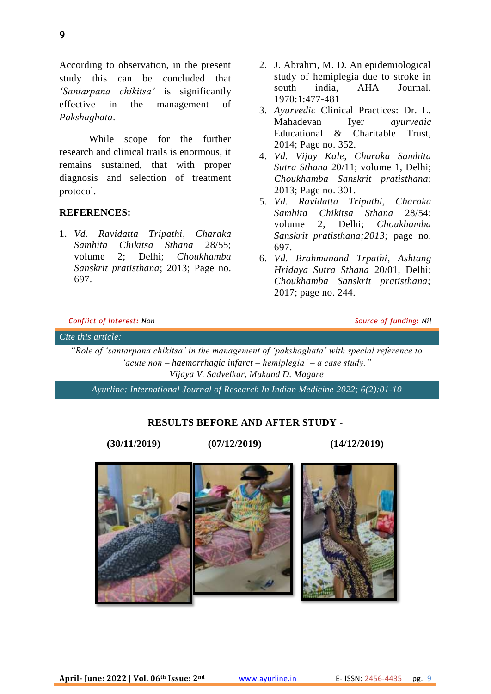According to observation, in the present study this can be concluded that *'Santarpana chikitsa'* is significantly effective in the management of *Pakshaghata*.

While scope for the further research and clinical trails is enormous, it remains sustained, that with proper diagnosis and selection of treatment protocol.

## **REFERENCES:**

1. *Vd. Ravidatta Tripathi*, *Charaka Samhita Chikitsa Sthana* 28/55; volume 2; Delhi; *Choukhamba Sanskrit pratisthana*; 2013; Page no. 697.

- 2. J. Abrahm, M. D. An epidemiological study of hemiplegia due to stroke in<br>south india AHA Iournal south india, AHA Journal. 1970:1:477-481
- 3. *Ayurvedic* Clinical Practices: Dr. L. Mahadevan Iyer *ayurvedic* Educational & Charitable Trust, 2014; Page no. 352.
- 4. *Vd. Vijay Kale*, *Charaka Samhita Sutra Sthana* 20/11; volume 1, Delhi; *Choukhamba Sanskrit pratisthana*; 2013; Page no. 301.
- 5. *Vd. Ravidatta Tripathi, Charaka Samhita Chikitsa Sthana* 28/54; volume 2, Delhi; *Choukhamba Sanskrit pratisthana;2013;* page no. 697.
- 6. *Vd. Brahmanand Trpathi*, *Ashtang Hridaya Sutra Sthana* 20/01, Delhi; *Choukhamba Sanskrit pratisthana;* 2017; page no. 244.

#### *Conflict of Interest: Non Source of funding: Nil*

#### *Cite this article:*

*"Role of 'santarpana chikitsa' in the management of 'pakshaghata' with special reference to 'acute non – haemorrhagic infarct – hemiplegia' – a case study." Vijaya V. Sadvelkar, Mukund D. Magare*

*Ayurline: International Journal of Research In Indian Medicine 2022; 6(2):01-10*

#### **RESULTS BEFORE AND AFTER STUDY -**

**(30/11/2019) (07/12/2019) (14/12/2019)**